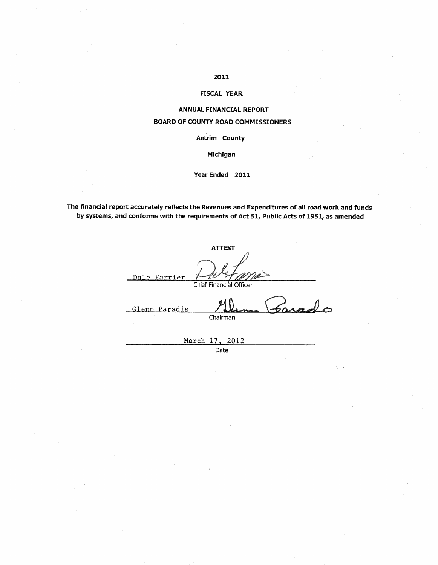# 2011

# **FISCAL YEAR**

# **ANNUAL FINANCIAL REPORT BOARD OF COUNTY ROAD COMMISSIONERS**

Antrim County

Michigan

### Year Ended 2011

The financial report accurately reflects the Revenues and Expenditures of all road work and funds by systems, and conforms with the requirements of Act 51, Public Acts of 1951, as amended

| <b>ATTEST</b>           |
|-------------------------|
| Dale Farrier            |
| Chief Financial Officer |
| Glenn Paradis           |
| Chairman                |
|                         |
| March 17, 2012          |

Date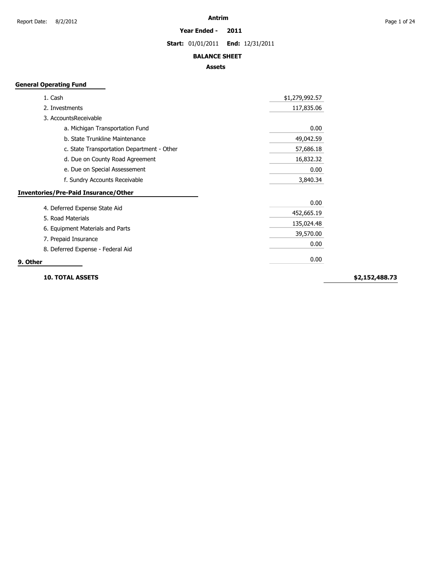#### **Year Ended - 2011**

**Start:** 01/01/2011 **End:** 12/31/2011

### **BALANCE SHEET**

# **Assets**

# **General Operating Fund**

| 1. Cash                                     | \$1,279,992.57 |
|---------------------------------------------|----------------|
| 2. Investments                              | 117,835.06     |
| 3. AccountsReceivable                       |                |
| a. Michigan Transportation Fund             | 0.00           |
| b. State Trunkline Maintenance              | 49,042.59      |
| c. State Transportation Department - Other  | 57,686.18      |
| d. Due on County Road Agreement             | 16,832.32      |
| e. Due on Special Assessement               | 0.00           |
| f. Sundry Accounts Receivable               | 3,840.34       |
| <b>Inventories/Pre-Paid Insurance/Other</b> |                |
|                                             | 0.00           |
| 4. Deferred Expense State Aid               | 452,665.19     |
| 5. Road Materials                           | 135,024.48     |
| 6. Equipment Materials and Parts            | 39,570.00      |
| 7. Prepaid Insurance                        | 0.00           |
| 8. Deferred Expense - Federal Aid           |                |
| 9. Other                                    | 0.00           |

**10. TOTAL ASSETS**

**\$2,152,488.73**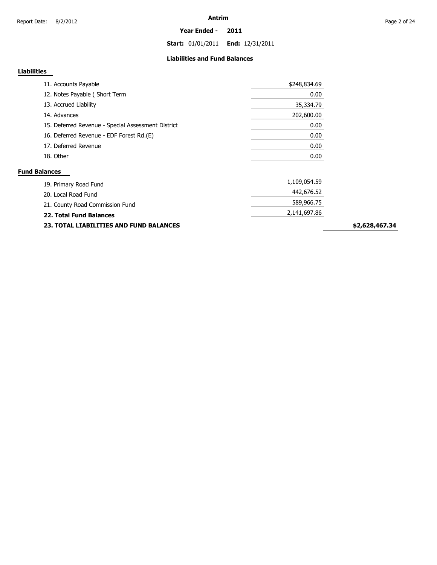**Start:** 01/01/2011 **End:** 12/31/2011

# **Liabilities and Fund Balances**

# **Liabilities**

| 11. Accounts Payable                     |                                                    | \$248,834.69 |
|------------------------------------------|----------------------------------------------------|--------------|
| 12. Notes Payable (Short Term            |                                                    | 0.00         |
| 13. Accrued Liability                    |                                                    | 35,334.79    |
| 14. Advances                             |                                                    | 202,600.00   |
|                                          | 15. Deferred Revenue - Special Assessment District | 0.00         |
| 16. Deferred Revenue - EDF Forest Rd.(E) |                                                    | 0.00         |
| 17. Deferred Revenue                     |                                                    | 0.00         |
| 18. Other                                |                                                    | 0.00         |

| <b>23. TOTAL LIABILITIES AND FUND BALANCES</b> |              | \$2 |
|------------------------------------------------|--------------|-----|
| 22. Total Fund Balances                        | 2,141,697.86 |     |
| 21. County Road Commission Fund                | 589,966.75   |     |
| 20. Local Road Fund                            | 442,676.52   |     |
| 19. Primary Road Fund                          | 1,109,054.59 |     |

**\$2,628,467.34**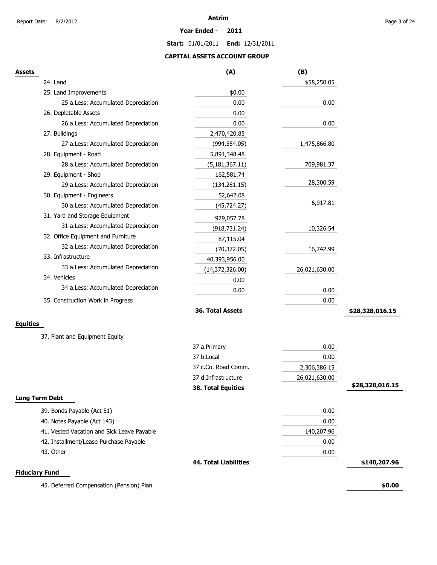**Year Ended - 2011**

**Start:** 01/01/2011 **End:** 12/31/2011

# **CAPITAL ASSETS ACCOUNT GROUP**

| Assets                                     | (A)                          | (B)           |                 |
|--------------------------------------------|------------------------------|---------------|-----------------|
| 24. Land                                   |                              | \$58,250.05   |                 |
| 25. Land Improvements                      | \$0.00                       |               |                 |
| 25 a.Less: Accumulated Depreciation        | 0.00                         | 0.00          |                 |
| 26. Depletable Assets                      | 0.00                         |               |                 |
| 26 a.Less: Accumulated Depreciation        | 0.00                         | 0.00          |                 |
| 27. Buildings                              | 2,470,420.85                 |               |                 |
| 27 a.Less: Accumulated Depreciation        | (994, 554.05)                | 1,475,866.80  |                 |
| 28. Equipment - Road                       | 5,891,348.48                 |               |                 |
| 28 a.Less: Accumulated Depreciation        | (5, 181, 367.11)             | 709,981.37    |                 |
| 29. Equipment - Shop                       | 162,581.74                   |               |                 |
| 29 a.Less: Accumulated Depreciation        | (134, 281.15)                | 28,300.59     |                 |
| 30. Equipment - Engineers                  | 52,642.08                    |               |                 |
| 30 a.Less: Accumulated Depreciation        | (45, 724.27)                 | 6,917.81      |                 |
| 31. Yard and Storage Equipment             | 929,057.78                   |               |                 |
| 31 a.Less: Accumulated Depreciation        | (918, 731.24)                | 10,326.54     |                 |
| 32. Office Equipment and Furniture         | 87,115.04                    |               |                 |
| 32 a.Less: Accumulated Depreciation        | (70, 372.05)                 | 16,742.99     |                 |
| 33. Infrastructure                         | 40,393,956.00                |               |                 |
| 33 a.Less: Accumulated Depreciation        | (14, 372, 326.00)            | 26,021,630.00 |                 |
| 34. Vehicles                               | 0.00                         |               |                 |
| 34 a.Less: Accumulated Depreciation        | 0.00                         | 0.00          |                 |
| 35. Construction Work in Progress          |                              | 0.00          |                 |
|                                            | 36. Total Assets             |               | \$28,328,016.15 |
| <b>Equities</b>                            |                              |               |                 |
| 37. Plant and Equipment Equity             |                              |               |                 |
|                                            | 37 a.Primary                 | 0.00          |                 |
|                                            | 37 b.Local                   | 0.00          |                 |
|                                            | 37 c.Co. Road Comm.          | 2,306,386.15  |                 |
|                                            | 37 d.Infrastructure          | 26,021,630.00 |                 |
|                                            | <b>38. Total Equities</b>    |               | \$28,328,016.15 |
| Long Term Debt                             |                              |               |                 |
| 39. Bonds Payable (Act 51)                 |                              | 0.00          |                 |
| 40. Notes Payable (Act 143)                |                              | 0.00          |                 |
| 41. Vested Vacation and Sick Leave Payable |                              | 140,207.96    |                 |
| 42. Installment/Lease Purchase Payable     |                              | 0.00          |                 |
| 43. Other                                  |                              | 0.00          |                 |
|                                            | <b>44. Total Liabilities</b> |               | \$140,207.96    |
| <b>Fiduciary Fund</b>                      |                              |               |                 |
| 45. Deferred Compensation (Pension) Plan   |                              |               | \$0.00          |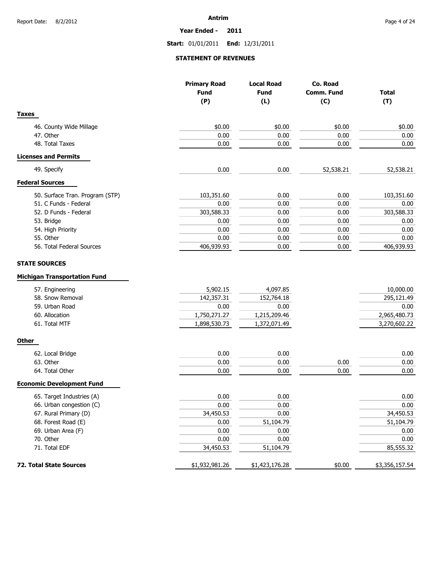**Year Ended - 2011**

**Start:** 01/01/2011 **End:** 12/31/2011

# **STATEMENT OF REVENUES**

|                                                             | <b>Primary Road</b><br><b>Fund</b><br>(P) | <b>Local Road</b><br><b>Fund</b><br>(L) | Co. Road<br>Comm. Fund<br>(C) | <b>Total</b><br>(T) |
|-------------------------------------------------------------|-------------------------------------------|-----------------------------------------|-------------------------------|---------------------|
| <b>Taxes</b>                                                |                                           |                                         |                               |                     |
| 46. County Wide Millage                                     | \$0.00                                    | \$0.00                                  | \$0.00                        | \$0.00              |
| 47. Other                                                   | 0.00                                      | 0.00                                    | 0.00                          | 0.00                |
| 48. Total Taxes                                             | 0.00                                      | 0.00                                    | 0.00                          | 0.00                |
| <b>Licenses and Permits</b>                                 |                                           |                                         |                               |                     |
| 49. Specify                                                 | 0.00                                      | 0.00                                    | 52,538.21                     | 52,538.21           |
| <b>Federal Sources</b>                                      |                                           |                                         |                               |                     |
| 50. Surface Tran. Program (STP)                             | 103,351.60                                | 0.00                                    | 0.00                          | 103,351.60          |
| 51. C Funds - Federal                                       | 0.00                                      | 0.00                                    | 0.00                          | 0.00                |
| 52. D Funds - Federal                                       | 303,588.33                                | 0.00                                    | 0.00                          | 303,588.33          |
| 53. Bridge                                                  | 0.00                                      | 0.00                                    | 0.00                          | 0.00                |
| 54. High Priority                                           | 0.00                                      | 0.00                                    | 0.00                          | 0.00                |
| 55. Other                                                   | 0.00                                      | 0.00                                    | 0.00                          | 0.00                |
| 56. Total Federal Sources                                   | 406,939.93                                | 0.00                                    | 0.00                          | 406,939.93          |
| <b>STATE SOURCES</b><br><b>Michigan Transportation Fund</b> |                                           |                                         |                               |                     |
| 57. Engineering                                             | 5,902.15                                  | 4,097.85                                |                               | 10,000.00           |
| 58. Snow Removal                                            | 142,357.31                                | 152,764.18                              |                               | 295,121.49          |
| 59. Urban Road                                              | 0.00                                      | 0.00                                    |                               | 0.00                |
| 60. Allocation                                              | 1,750,271.27                              | 1,215,209.46                            |                               | 2,965,480.73        |
| 61. Total MTF                                               | 1,898,530.73                              | 1,372,071.49                            |                               | 3,270,602.22        |
| <b>Other</b>                                                |                                           |                                         |                               |                     |
| 62. Local Bridge                                            | 0.00                                      | 0.00                                    |                               | 0.00                |
| 63. Other                                                   | 0.00                                      | 0.00                                    | 0.00                          | 0.00                |
| 64. Total Other                                             | 0.00                                      | 0.00                                    | 0.00                          | 0.00                |
| <b>Economic Development Fund</b>                            |                                           |                                         |                               |                     |
| 65. Target Industries (A)                                   | 0.00                                      | 0.00                                    |                               | 0.00                |
| 66. Urban congestion (C)                                    | 0.00                                      | 0.00                                    |                               | $0.00\,$            |
| 67. Rural Primary (D)                                       | 34,450.53                                 | 0.00                                    |                               | 34,450.53           |
| 68. Forest Road (E)                                         | 0.00                                      | 51,104.79                               |                               | 51,104.79           |
| 69. Urban Area (F)                                          | 0.00                                      | 0.00                                    |                               | 0.00                |
| 70. Other                                                   | 0.00                                      | 0.00                                    |                               | 0.00                |
| 71. Total EDF                                               | 34,450.53                                 | 51,104.79                               |                               | 85,555.32           |
| 72. Total State Sources                                     | \$1,932,981.26                            | \$1,423,176.28                          | \$0.00                        | \$3,356,157.54      |
|                                                             |                                           |                                         |                               |                     |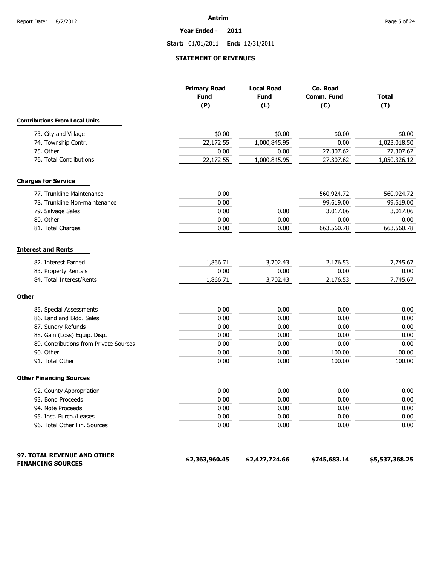**Year Ended - 2011**

# **Start:** 01/01/2011 **End:** 12/31/2011

# **STATEMENT OF REVENUES**

|                                        | <b>Primary Road</b><br><b>Fund</b><br>(P) | <b>Local Road</b><br><b>Fund</b><br>(L) | Co. Road<br>Comm. Fund<br>(C) | <b>Total</b><br>(T) |
|----------------------------------------|-------------------------------------------|-----------------------------------------|-------------------------------|---------------------|
| <b>Contributions From Local Units</b>  |                                           |                                         |                               |                     |
| 73. City and Village                   | \$0.00                                    | \$0.00                                  | \$0.00                        | \$0.00              |
| 74. Township Contr.                    | 22,172.55                                 | 1,000,845.95                            | 0.00                          | 1,023,018.50        |
| 75. Other                              | 0.00                                      | 0.00                                    | 27,307.62                     | 27,307.62           |
| 76. Total Contributions                | 22,172.55                                 | 1,000,845.95                            | 27,307.62                     | 1,050,326.12        |
| <b>Charges for Service</b>             |                                           |                                         |                               |                     |
| 77. Trunkline Maintenance              | 0.00                                      |                                         | 560,924.72                    | 560,924.72          |
| 78. Trunkline Non-maintenance          | 0.00                                      |                                         | 99,619.00                     | 99,619.00           |
| 79. Salvage Sales                      | 0.00                                      | 0.00                                    | 3,017.06                      | 3,017.06            |
| 80. Other                              | 0.00                                      | 0.00                                    | 0.00                          | 0.00                |
| 81. Total Charges                      | 0.00                                      | 0.00                                    | 663,560.78                    | 663,560.78          |
| <b>Interest and Rents</b>              |                                           |                                         |                               |                     |
| 82. Interest Earned                    | 1,866.71                                  | 3,702.43                                | 2,176.53                      | 7,745.67            |
| 83. Property Rentals                   | 0.00                                      | 0.00                                    | 0.00                          | 0.00                |
| 84. Total Interest/Rents               | 1,866.71                                  | 3,702.43                                | 2,176.53                      | 7,745.67            |
| <b>Other</b>                           |                                           |                                         |                               |                     |
| 85. Special Assessments                | 0.00                                      | 0.00                                    | 0.00                          | 0.00                |
| 86. Land and Bldg. Sales               | 0.00                                      | 0.00                                    | 0.00                          | 0.00                |
| 87. Sundry Refunds                     | 0.00                                      | 0.00                                    | 0.00                          | 0.00                |
| 88. Gain (Loss) Equip. Disp.           | 0.00                                      | 0.00                                    | 0.00                          | 0.00                |
| 89. Contributions from Private Sources | 0.00                                      | 0.00                                    | 0.00                          | 0.00                |
| 90. Other                              | 0.00                                      | 0.00                                    | 100.00                        | 100.00              |
| 91. Total Other                        | 0.00                                      | 0.00                                    | 100.00                        | 100.00              |
| <b>Other Financing Sources</b>         |                                           |                                         |                               |                     |
| 92. County Appropriation               | 0.00                                      | 0.00                                    | 0.00                          | 0.00                |
| 93. Bond Proceeds                      | 0.00                                      | 0.00                                    | 0.00                          | 0.00                |
| 94. Note Proceeds                      | 0.00                                      | 0.00                                    | 0.00                          | $0.00\,$            |
| 95. Inst. Purch./Leases                | 0.00                                      | 0.00                                    | 0.00                          | 0.00                |
| 96. Total Other Fin. Sources           | 0.00                                      | 0.00                                    | 0.00                          | 0.00                |
| 97. TOTAL REVENUE AND OTHER            |                                           |                                         |                               |                     |
| <b>FINANCING SOURCES</b>               | \$2,363,960.45                            | \$2,427,724.66                          | \$745,683.14                  | \$5,537,368.25      |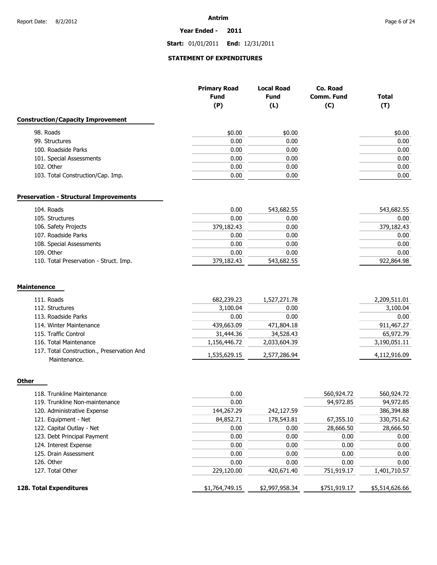#### **Year Ended - 2011**

**Start:** 01/01/2011 **End:** 12/31/2011

# **STATEMENT OF EXPENDITURES**

|                                                            | <b>Primary Road</b><br><b>Fund</b> | <b>Local Road</b><br><b>Fund</b> | Co. Road<br>Comm. Fund | <b>Total</b> |
|------------------------------------------------------------|------------------------------------|----------------------------------|------------------------|--------------|
|                                                            | (P)                                | (L)                              | (C)                    | (T)          |
| <b>Construction/Capacity Improvement</b>                   |                                    |                                  |                        |              |
| 98. Roads                                                  | \$0.00                             | \$0.00                           |                        | \$0.00       |
| 99. Structures                                             | 0.00                               | 0.00                             |                        | 0.00         |
| 100. Roadside Parks                                        | 0.00                               | 0.00                             |                        | 0.00         |
| 101. Special Assessments                                   | 0.00                               | 0.00                             |                        | 0.00         |
| 102. Other                                                 | 0.00                               | 0.00                             |                        | 0.00         |
| 103. Total Construction/Cap. Imp.                          | 0.00                               | 0.00                             |                        | 0.00         |
| <b>Preservation - Structural Improvements</b>              |                                    |                                  |                        |              |
| 104. Roads                                                 | 0.00                               | 543,682.55                       |                        | 543,682.55   |
| 105. Structures                                            | 0.00                               | 0.00                             |                        | 0.00         |
| 106. Safety Projects                                       | 379,182.43                         | 0.00                             |                        | 379,182.43   |
| 107. Roadside Parks                                        | 0.00                               | 0.00                             |                        | 0.00         |
| 108. Special Assessments                                   | 0.00                               | 0.00                             |                        | 0.00         |
| 109. Other                                                 | 0.00                               | 0.00                             |                        | 0.00         |
| 110. Total Preservation - Struct. Imp.                     | 379,182.43                         | 543,682.55                       |                        | 922,864.98   |
| <b>Maintenence</b>                                         |                                    |                                  |                        |              |
| 111. Roads                                                 | 682,239.23                         | 1,527,271.78                     |                        | 2,209,511.01 |
| 112. Structures                                            | 3,100.04                           | 0.00                             |                        | 3,100.04     |
| 113. Roadside Parks                                        | 0.00                               | 0.00                             |                        | 0.00         |
| 114. Winter Maintenance                                    | 439,663.09                         | 471,804.18                       |                        | 911,467.27   |
| 115. Traffic Control                                       | 31,444.36                          | 34,528.43                        |                        | 65,972.79    |
| 116. Total Maintenance                                     | 1,156,446.72                       | 2,033,604.39                     |                        | 3,190,051.11 |
| 117. Total Construction., Preservation And<br>Maintenance. | 1,535,629.15                       | 2,577,286.94                     |                        | 4,112,916.09 |
|                                                            |                                    |                                  |                        |              |
| Other                                                      |                                    |                                  |                        |              |
| 118. Trunkline Maintenance                                 | 0.00                               |                                  | 560,924.72             | 560,924.72   |
|                                                            |                                    |                                  |                        |              |

| 119. Trunkline Non-maintenance | 0.00           |                | 94,972.85    | 94,972.85      |
|--------------------------------|----------------|----------------|--------------|----------------|
| 120. Administrative Expense    | 144,267.29     | 242,127.59     |              | 386,394.88     |
| 121. Equipment - Net           | 84,852.71      | 178,543.81     | 67,355.10    | 330,751.62     |
| 122. Capital Outlay - Net      | 0.00           | 0.00           | 28,666.50    | 28,666.50      |
| 123. Debt Principal Payment    | 0.00           | 0.00           | 0.00         | 0.00           |
| 124. Interest Expense          | 0.00           | 0.00           | 0.00         | 0.00           |
| 125. Drain Assessment          | 0.00           | 0.00           | 0.00         | 0.00           |
| 126. Other                     | 0.00           | 0.00           | 0.00         | 0.00           |
| 127. Total Other               | 229,120.00     | 420,671.40     | 751,919.17   | 1,401,710.57   |
| 128. Total Expenditures        | \$1,764,749.15 | \$2,997,958.34 | \$751,919.17 | \$5,514,626.66 |
|                                |                |                |              |                |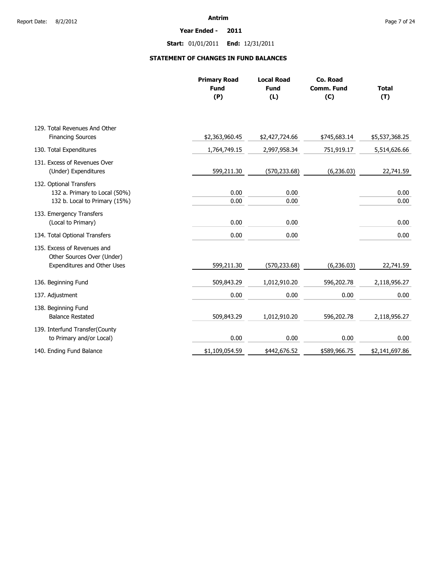#### **Year Ended - 2011**

**Start:** 01/01/2011 **End:** 12/31/2011

# **STATEMENT OF CHANGES IN FUND BALANCES**

|                                                           | <b>Primary Road</b><br><b>Fund</b><br>(P) | <b>Local Road</b><br><b>Fund</b><br>(L) | Co. Road<br><b>Comm. Fund</b><br>(C) | <b>Total</b><br>(T) |
|-----------------------------------------------------------|-------------------------------------------|-----------------------------------------|--------------------------------------|---------------------|
|                                                           |                                           |                                         |                                      |                     |
| 129. Total Revenues And Other                             |                                           |                                         |                                      |                     |
| <b>Financing Sources</b>                                  | \$2,363,960.45                            | \$2,427,724.66                          | \$745,683.14                         | \$5,537,368.25      |
| 130. Total Expenditures                                   | 1,764,749.15                              | 2,997,958.34                            | 751,919.17                           | 5,514,626.66        |
| 131. Excess of Revenues Over<br>(Under) Expenditures      | 599,211.30                                | (570, 233.68)                           | (6, 236.03)                          | 22,741.59           |
| 132. Optional Transfers                                   |                                           |                                         |                                      |                     |
| 132 a. Primary to Local (50%)                             | 0.00                                      | 0.00                                    |                                      | 0.00                |
| 132 b. Local to Primary (15%)                             | 0.00                                      | 0.00                                    |                                      | 0.00                |
| 133. Emergency Transfers<br>(Local to Primary)            | 0.00                                      | 0.00                                    |                                      | 0.00                |
| 134. Total Optional Transfers                             | 0.00                                      | 0.00                                    |                                      | 0.00                |
| 135. Excess of Revenues and<br>Other Sources Over (Under) |                                           |                                         |                                      |                     |
| Expenditures and Other Uses                               | 599,211.30                                | (570, 233.68)                           | (6, 236.03)                          | 22,741.59           |
| 136. Beginning Fund                                       | 509,843.29                                | 1,012,910.20                            | 596,202.78                           | 2,118,956.27        |
| 137. Adjustment                                           | 0.00                                      | 0.00                                    | 0.00                                 | 0.00                |
| 138. Beginning Fund                                       |                                           |                                         |                                      |                     |
| <b>Balance Restated</b>                                   | 509,843.29                                | 1,012,910.20                            | 596,202.78                           | 2,118,956.27        |
| 139. Interfund Transfer(County                            |                                           |                                         |                                      |                     |
| to Primary and/or Local)                                  | 0.00                                      | 0.00                                    | 0.00                                 | 0.00                |
| 140. Ending Fund Balance                                  | \$1,109,054.59                            | \$442,676.52                            | \$589,966.75                         | \$2,141,697.86      |
|                                                           |                                           |                                         |                                      |                     |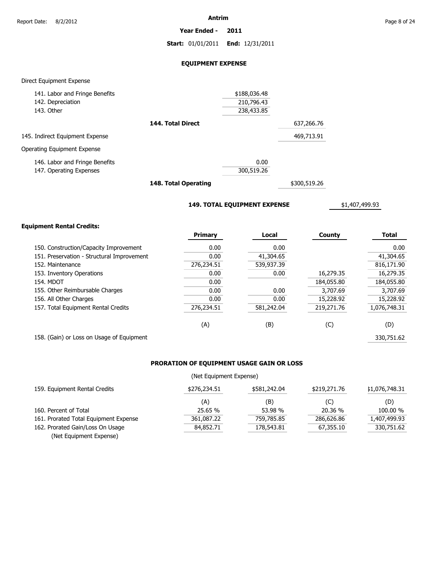**Year Ended - 2011**

**Start:** 01/01/2011 **End:** 12/31/2011

# **EQUIPMENT EXPENSE**

### Direct Equipment Expense

| 141. Labor and Fringe Benefits  |                   | \$188,036.48 |            |
|---------------------------------|-------------------|--------------|------------|
| 142. Depreciation               |                   | 210,796.43   |            |
| 143. Other                      |                   | 238,433.85   |            |
|                                 | 144. Total Direct |              | 637,266.76 |
| 145. Indirect Equipment Expense |                   |              | 469,713.91 |
| Operating Equipment Expense     |                   |              |            |
| 146. Labor and Fringe Benefits  |                   | 0.00         |            |
| 147. Operating Expenses         |                   | 300,519.26   |            |
|                                 |                   |              |            |

**148. Total Operating**

\$300,519.26

**149. TOTAL EQUIPMENT EXPENSE**

\$1,407,499.93

# **Equipment Rental Credits:**

|                                            | <b>Primary</b> | Local      | County     | <b>Total</b> |
|--------------------------------------------|----------------|------------|------------|--------------|
| 150. Construction/Capacity Improvement     | 0.00           | 0.00       |            | 0.00         |
| 151. Preservation - Structural Improvement | 0.00           | 41,304.65  |            | 41,304.65    |
| 152. Maintenance                           | 276,234.51     | 539,937.39 |            | 816,171.90   |
| 153. Inventory Operations                  | 0.00           | 0.00       | 16,279.35  | 16,279.35    |
| <b>154. MDOT</b>                           | 0.00           |            | 184,055.80 | 184,055.80   |
| 155. Other Reimbursable Charges            | 0.00           | 0.00       | 3,707.69   | 3,707.69     |
| 156. All Other Charges                     | 0.00           | 0.00       | 15,228.92  | 15,228.92    |
| 157. Total Equipment Rental Credits        | 276,234.51     | 581,242.04 | 219,271.76 | 1,076,748.31 |
|                                            | (A)            | (B)        | (C)        | (D)          |
| 158. (Gain) or Loss on Usage of Equipment  |                |            |            | 330.751.62   |

# **PRORATION OF EQUIPMENT USAGE GAIN OR LOSS**

# (Net Equipment Expense)

| 159. Equipment Rental Credits         | \$276,234.51 | \$581,242.04 | \$219,271.76 | \$1,076,748.31 |
|---------------------------------------|--------------|--------------|--------------|----------------|
|                                       | (A)          | (B)          | (C)          | (D)            |
| 160. Percent of Total                 | 25.65 %      | 53.98 %      | 20.36 %      | 100.00 %       |
| 161. Prorated Total Equipment Expense | 361,087.22   | 759,785.85   | 286,626,86   | 1.407.499.93   |
| 162. Prorated Gain/Loss On Usage      | 84,852.71    | 178,543.81   | 67,355.10    | 330,751.62     |
| (Net Equipment Expense)               |              |              |              |                |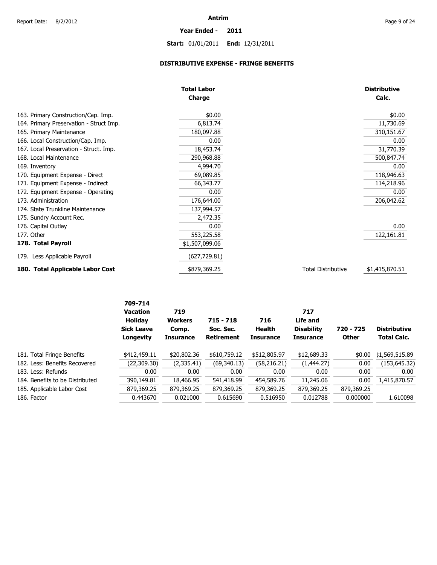# **Start:** 01/01/2011 **End:** 12/31/2011

**Year Ended - 2011**

# **DISTRIBUTIVE EXPENSE - FRINGE BENEFITS**

|                                         | <b>Total Labor</b><br><b>Charge</b> |                           | <b>Distributive</b><br>Calc. |
|-----------------------------------------|-------------------------------------|---------------------------|------------------------------|
|                                         |                                     |                           |                              |
| 163. Primary Construction/Cap. Imp.     | \$0.00                              |                           | \$0.00                       |
| 164. Primary Preservation - Struct Imp. | 6,813.74                            |                           | 11,730.69                    |
| 165. Primary Maintenance                | 180,097.88                          |                           | 310,151.67                   |
| 166. Local Construction/Cap. Imp.       | 0.00                                |                           | 0.00                         |
| 167. Local Preservation - Struct. Imp.  | 18,453.74                           |                           | 31,770.39                    |
| 168. Local Maintenance                  | 290,968.88                          |                           | 500,847.74                   |
| 169. Inventory                          | 4,994.70                            |                           | 0.00                         |
| 170. Equipment Expense - Direct         | 69,089.85                           |                           | 118,946.63                   |
| 171. Equipment Expense - Indirect       | 66,343.77                           |                           | 114,218.96                   |
| 172. Equipment Expense - Operating      | 0.00                                |                           | 0.00                         |
| 173. Administration                     | 176,644.00                          |                           | 206,042.62                   |
| 174. State Trunkline Maintenance        | 137,994.57                          |                           |                              |
| 175. Sundry Account Rec.                | 2,472.35                            |                           |                              |
| 176. Capital Outlay                     | 0.00                                |                           | 0.00                         |
| 177. Other                              | 553,225.58                          |                           | 122,161.81                   |
| 178. Total Payroll                      | \$1,507,099.06                      |                           |                              |
| 179. Less Applicable Payroll            | (627, 729.81)                       |                           |                              |
| 180. Total Applicable Labor Cost        | \$879,369.25                        | <b>Total Distributive</b> | \$1,415,870.51               |

|                                 | 709-714<br><b>Vacation</b><br><b>Holidav</b><br><b>Sick Leave</b><br>Longevity | 719<br><b>Workers</b><br>Comp.<br><b>Insurance</b> | $715 - 718$<br>Soc. Sec.<br><b>Retirement</b> | 716<br>Health<br><b>Insurance</b> | 717<br>Life and<br><b>Disability</b><br><b>Insurance</b> | 720 - 725<br><b>Other</b> | <b>Distributive</b><br><b>Total Calc.</b> |
|---------------------------------|--------------------------------------------------------------------------------|----------------------------------------------------|-----------------------------------------------|-----------------------------------|----------------------------------------------------------|---------------------------|-------------------------------------------|
| 181. Total Fringe Benefits      | \$412,459.11                                                                   | \$20,802.36                                        | \$610,759.12                                  | \$512,805.97                      | \$12,689.33                                              | \$0.00                    | \$1,569,515.89                            |
| 182. Less: Benefits Recovered   | (22, 309.30)                                                                   | (2,335.41)                                         | (69, 340.13)                                  | (58, 216.21)                      | (1,444.27)                                               | 0.00                      | (153, 645.32)                             |
| 183. Less: Refunds              | 0.00                                                                           | 0.00                                               | 0.00                                          | 0.00                              | 0.00                                                     | 0.00                      | 0.00                                      |
| 184. Benefits to be Distributed | 390,149.81                                                                     | 18,466.95                                          | 541,418.99                                    | 454,589.76                        | 11,245.06                                                | 0.00                      | 1,415,870.57                              |
| 185. Applicable Labor Cost      | 879,369.25                                                                     | 879,369.25                                         | 879,369.25                                    | 879,369.25                        | 879,369.25                                               | 879,369.25                |                                           |
| 186. Factor                     | 0.443670                                                                       | 0.021000                                           | 0.615690                                      | 0.516950                          | 0.012788                                                 | 0.000000                  | 1.610098                                  |
|                                 |                                                                                |                                                    |                                               |                                   |                                                          |                           |                                           |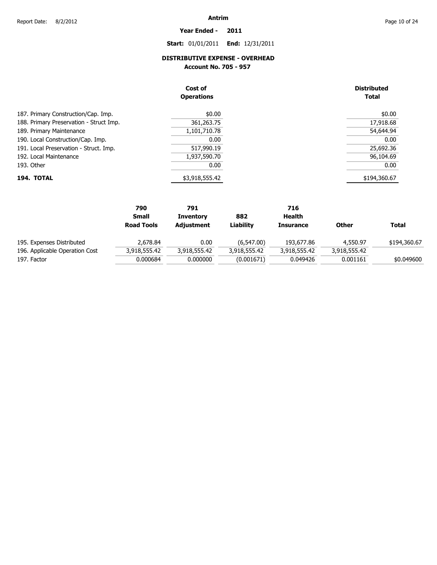# **Start:** 01/01/2011 **End:** 12/31/2011

**Year Ended - 2011**

# **DISTRIBUTIVE EXPENSE - OVERHEAD**

**Account No. 705 - 957** 

|                                         | Cost of<br><b>Operations</b> | <b>Distributed</b><br><b>Total</b> |
|-----------------------------------------|------------------------------|------------------------------------|
| 187. Primary Construction/Cap. Imp.     | \$0.00                       | \$0.00                             |
| 188. Primary Preservation - Struct Imp. | 361,263.75                   | 17,918.68                          |
| 189. Primary Maintenance                | 1,101,710.78                 | 54,644.94                          |
| 190. Local Construction/Cap. Imp.       | 0.00                         | 0.00                               |
| 191. Local Preservation - Struct. Imp.  | 517,990.19                   | 25,692.36                          |
| 192. Local Maintenance                  | 1,937,590.70                 | 96,104.69                          |
| 193. Other                              | 0.00                         | 0.00                               |
| 194. TOTAL                              | \$3,918,555.42               | \$194,360.67                       |

|                                | 790               | 791              |              | 716              |              |              |
|--------------------------------|-------------------|------------------|--------------|------------------|--------------|--------------|
|                                | <b>Small</b>      | <b>Inventory</b> | 882          | Health           |              |              |
|                                | <b>Road Tools</b> | Adjustment       | Liabilitv    | <b>Insurance</b> | <b>Other</b> | <b>Total</b> |
| 195. Expenses Distributed      | 2.678.84          | 0.00             | (6, 547.00)  | 193,677,86       | 4,550.97     | \$194,360.67 |
| 196. Applicable Operation Cost | 3,918,555.42      | 3,918,555.42     | 3,918,555.42 | 3,918,555.42     | 3,918,555.42 |              |
| 197. Factor                    | 0.000684          | 0.000000         | (0.001671)   | 0.049426         | 0.001161     | \$0.049600   |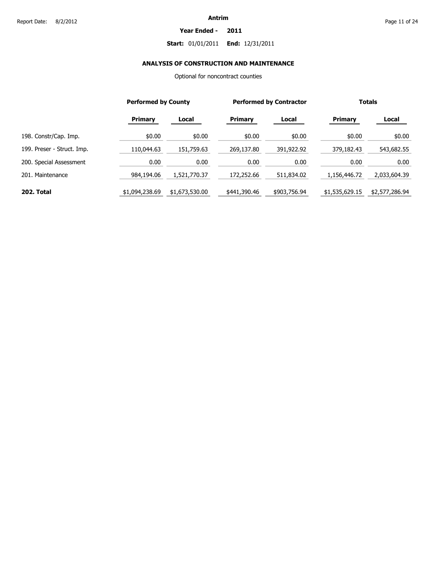#### **Year Ended - 2011**

# **Start:** 01/01/2011 **End:** 12/31/2011

# **ANALYSIS OF CONSTRUCTION AND MAINTENANCE**

Optional for noncontract counties

|                            |                | <b>Performed by County</b> |                | <b>Performed by Contractor</b> |                | <b>Totals</b>  |  |
|----------------------------|----------------|----------------------------|----------------|--------------------------------|----------------|----------------|--|
|                            | <b>Primary</b> | Local                      | <b>Primary</b> | Local                          | <b>Primary</b> | Local          |  |
| 198. Constr/Cap. Imp.      | \$0.00         | \$0.00                     | \$0.00         | \$0.00                         | \$0.00         | \$0.00         |  |
| 199. Preser - Struct. Imp. | 110,044.63     | 151,759.63                 | 269,137.80     | 391,922.92                     | 379,182.43     | 543,682.55     |  |
| 200. Special Assessment    | 0.00           | 0.00                       | 0.00           | 0.00                           | 0.00           | 0.00           |  |
| 201. Maintenance           | 984,194.06     | 1,521,770.37               | 172,252.66     | 511,834.02                     | 1,156,446.72   | 2,033,604.39   |  |
| 202. Total                 | \$1,094,238.69 | \$1,673,530.00             | \$441,390.46   | \$903,756.94                   | \$1,535,629.15 | \$2,577,286.94 |  |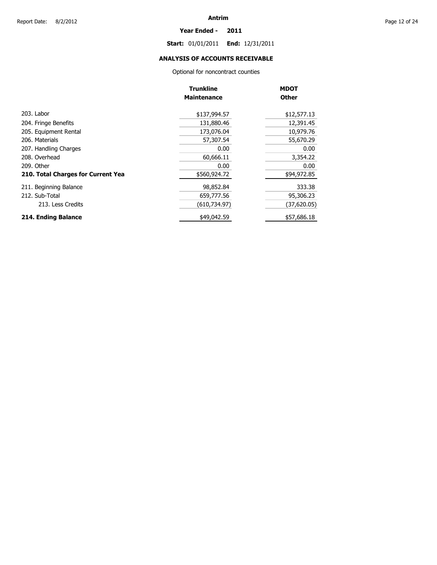#### **Year Ended - 2011**

**Start:** 01/01/2011 **End:** 12/31/2011

# **ANALYSIS OF ACCOUNTS RECEIVABLE**

Optional for noncontract counties

|                                    | <b>Trunkline</b>   | <b>MDOT</b>  |
|------------------------------------|--------------------|--------------|
|                                    | <b>Maintenance</b> | <b>Other</b> |
| 203. Labor                         | \$137,994.57       | \$12,577.13  |
| 204. Fringe Benefits               | 131,880.46         | 12,391.45    |
| 205. Equipment Rental              | 173,076.04         | 10,979.76    |
| 206. Materials                     | 57,307.54          | 55,670.29    |
| 207. Handling Charges              | 0.00               | 0.00         |
| 208. Overhead                      | 60,666.11          | 3,354.22     |
| 209. Other                         | 0.00               | 0.00         |
| 210. Total Charges for Current Yea | \$560,924.72       | \$94,972.85  |
| 211. Beginning Balance             | 98,852.84          | 333.38       |
| 212. Sub-Total                     | 659,777.56         | 95,306.23    |
| 213. Less Credits                  | (610,734.97)       | (37,620.05)  |
| 214. Ending Balance                | \$49,042.59        | \$57,686.18  |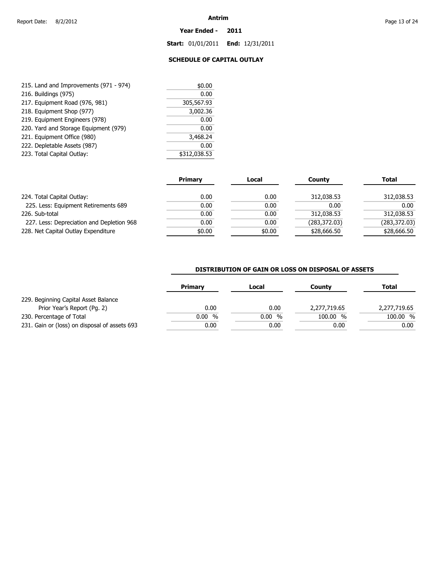#### **Year Ended - 2011**

**Start:** 01/01/2011 **End:** 12/31/2011

# **SCHEDULE OF CAPITAL OUTLAY**

| 215. Land and Improvements (971 - 974) | \$0.00       |
|----------------------------------------|--------------|
| 216. Buildings (975)                   | 0.00         |
| 217. Equipment Road (976, 981)         | 305,567.93   |
| 218. Equipment Shop (977)              | 3,002.36     |
| 219. Equipment Engineers (978)         | 0.00         |
| 220. Yard and Storage Equipment (979)  | 0.00         |
| 221. Equipment Office (980)            | 3,468.24     |
| 222. Depletable Assets (987)           | 0.00         |
| 223. Total Capital Outlay:             | \$312,038.53 |

|                                           | <b>Primary</b> | Local  | County        | <b>Total</b>  |
|-------------------------------------------|----------------|--------|---------------|---------------|
| 224. Total Capital Outlay:                | 0.00           | 0.00   | 312,038.53    | 312,038.53    |
| 225. Less: Equipment Retirements 689      | 0.00           | 0.00   | 0.00          | 0.00          |
| 226. Sub-total                            | 0.00           | 0.00   | 312,038.53    | 312,038.53    |
| 227. Less: Depreciation and Depletion 968 | 0.00           | 0.00   | (283, 372.03) | (283, 372.03) |
| 228. Net Capital Outlay Expenditure       | \$0.00         | \$0.00 | \$28,666.50   | \$28,666.50   |

# **DISTRIBUTION OF GAIN OR LOSS ON DISPOSAL OF ASSETS**

| <b>Primary</b> | Local  | <b>County</b> | Total        |
|----------------|--------|---------------|--------------|
|                |        |               |              |
| 0.00           | 0.00   | 2,277,719.65  | 2,277,719.65 |
| $0.00\%$       | 0.00 % | 100.00 %      | 100.00 %     |
| 0.00           | 0.00   | 0.00          | 0.00         |
|                |        |               |              |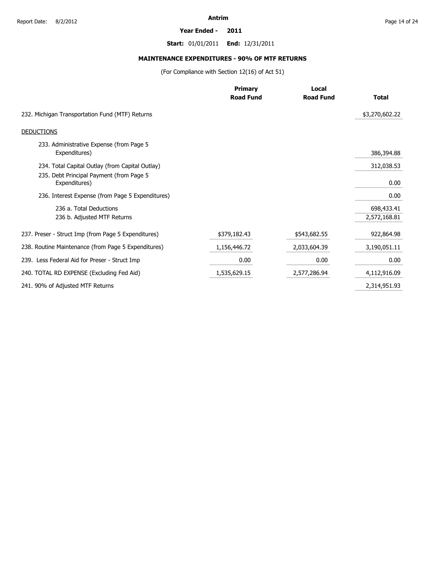#### **Year Ended - 2011**

**Start:** 01/01/2011 **End:** 12/31/2011

# **MAINTENANCE EXPENDITURES - 90% OF MTF RETURNS**

(For Compliance with Section 12(16) of Act 51)

|                                                           | <b>Primary</b>   | Local            |                |  |
|-----------------------------------------------------------|------------------|------------------|----------------|--|
|                                                           | <b>Road Fund</b> | <b>Road Fund</b> | <b>Total</b>   |  |
| 232. Michigan Transportation Fund (MTF) Returns           |                  |                  | \$3,270,602.22 |  |
| <b>DEDUCTIONS</b>                                         |                  |                  |                |  |
| 233. Administrative Expense (from Page 5<br>Expenditures) |                  |                  | 386,394.88     |  |
| 234. Total Capital Outlay (from Capital Outlay)           |                  |                  | 312,038.53     |  |
| 235. Debt Principal Payment (from Page 5<br>Expenditures) |                  |                  | 0.00           |  |
| 236. Interest Expense (from Page 5 Expenditures)          |                  |                  | 0.00           |  |
| 236 a. Total Deductions                                   |                  |                  | 698,433.41     |  |
| 236 b. Adjusted MTF Returns                               |                  |                  | 2,572,168.81   |  |
| 237. Preser - Struct Imp (from Page 5 Expenditures)       | \$379,182.43     | \$543,682.55     | 922,864.98     |  |
| 238. Routine Maintenance (from Page 5 Expenditures)       | 1,156,446.72     | 2,033,604.39     | 3,190,051.11   |  |
| 239. Less Federal Aid for Preser - Struct Imp             | 0.00             | 0.00             | 0.00           |  |
| 240. TOTAL RD EXPENSE (Excluding Fed Aid)                 | 1,535,629.15     | 2,577,286.94     | 4,112,916.09   |  |
| 241. 90% of Adjusted MTF Returns                          |                  |                  | 2,314,951.93   |  |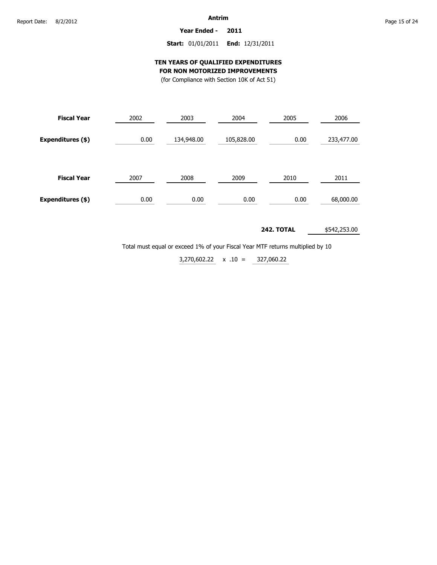**Year Ended - 2011**

# **Start:** 01/01/2011 **End:** 12/31/2011

# **TEN YEARS OF QUALIFIED EXPENDITURES FOR NON MOTORIZED IMPROVEMENTS**

(for Compliance with Section 10K of Act 51)

| <b>Fiscal Year</b> | 2002 | 2003       | 2004       | 2005 | 2006       |  |
|--------------------|------|------------|------------|------|------------|--|
| Expenditures (\$)  | 0.00 | 134,948.00 | 105,828.00 | 0.00 | 233,477.00 |  |
| <b>Fiscal Year</b> | 2007 | 2008       | 2009       | 2010 | 2011       |  |
| Expenditures (\$)  | 0.00 | 0.00       | 0.00       | 0.00 | 68,000.00  |  |

#### **242. TOTAL** \$542,253.00

Total must equal or exceed 1% of your Fiscal Year MTF returns multiplied by 10

327,060.22  $3,270,602.22 \times .10 =$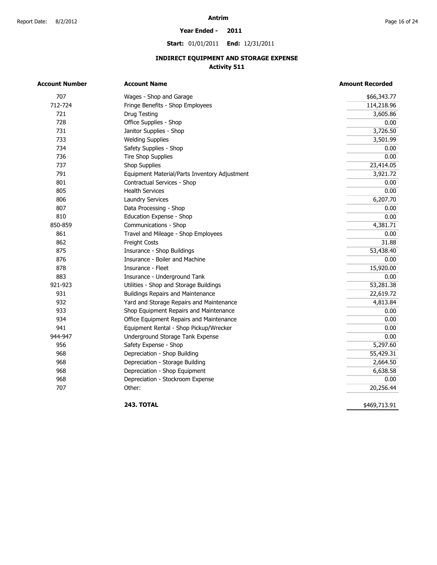#### **Year Ended - 2011**

**Start:** 01/01/2011 **End:** 12/31/2011

# **INDIRECT EQUIPMENT AND STORAGE EXPENSE Activity 511**

| <b>Account Number</b> | <b>Account Name</b>                           | <b>Amount Recorded</b> |
|-----------------------|-----------------------------------------------|------------------------|
| 707                   | Wages - Shop and Garage                       | \$66,343.77            |
| 712-724               | Fringe Benefits - Shop Employees              | 114,218.96             |
| 721                   | Drug Testing                                  | 3,605.86               |
| 728                   | Office Supplies - Shop                        | 0.00                   |
| 731                   | Janitor Supplies - Shop                       | 3,726.50               |
| 733                   | <b>Welding Supplies</b>                       | 3,501.99               |
| 734                   | Safety Supplies - Shop                        | 0.00                   |
| 736                   | <b>Tire Shop Supplies</b>                     | 0.00                   |
| 737                   | <b>Shop Supplies</b>                          | 23,414.05              |
| 791                   | Equipment Material/Parts Inventory Adjustment | 3,921.72               |
| 801                   | Contractual Services - Shop                   | 0.00                   |
| 805                   | <b>Health Services</b>                        | 0.00                   |
| 806                   | <b>Laundry Services</b>                       | 6,207.70               |
| 807                   | Data Processing - Shop                        | 0.00                   |
| 810                   | Education Expense - Shop                      | 0.00                   |
| 850-859               | Communications - Shop                         | 4,381.71               |
| 861                   | Travel and Mileage - Shop Employees           | 0.00                   |
| 862                   | Freight Costs                                 | 31.88                  |
| 875                   | Insurance - Shop Buildings                    | 53,438.40              |
| 876                   | Insurance - Boiler and Machine                | 0.00                   |
| 878                   | Insurance - Fleet                             | 15,920.00              |
| 883                   | Insurance - Underground Tank                  | 0.00                   |
| 921-923               | Utilities - Shop and Storage Buildings        | 53,281.38              |
| 931                   | <b>Buildings Repairs and Maintenance</b>      | 22,619.72              |
| 932                   | Yard and Storage Repairs and Maintenance      | 4,813.84               |
| 933                   | Shop Equipment Repairs and Maintenance        | 0.00                   |
| 934                   | Office Equipment Repairs and Maintenance      | 0.00                   |
| 941                   | Equipment Rental - Shop Pickup/Wrecker        | 0.00                   |
| 944-947               | Underground Storage Tank Expense              | 0.00                   |
| 956                   | Safety Expense - Shop                         | 5,297.60               |
| 968                   | Depreciation - Shop Building                  | 55,429.31              |
| 968                   | Depreciation - Storage Building               | 2,664.50               |
| 968                   | Depreciation - Shop Equipment                 | 6,638.58               |
| 968                   | Depreciation - Stockroom Expense              | 0.00                   |
| 707                   | Other:                                        | 20,256.44              |

**243. TOTAL** 

\$469,713.91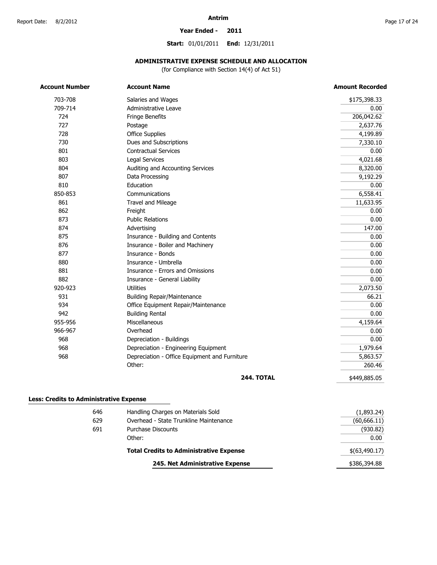#### **Year Ended - 2011**

**Start:** 01/01/2011 **End:** 12/31/2011

# **ADMINISTRATIVE EXPENSE SCHEDULE AND ALLOCATION**

(for Compliance with Section 14(4) of Act 51)

| <b>Account Number</b> | <b>Account Name</b>                           | <b>Amount Recorded</b> |
|-----------------------|-----------------------------------------------|------------------------|
| 703-708               | Salaries and Wages                            | \$175,398.33           |
| 709-714               | Administrative Leave                          | 0.00                   |
| 724                   | Fringe Benefits                               | 206,042.62             |
| 727                   | Postage                                       | 2,637.76               |
| 728                   | <b>Office Supplies</b>                        | 4,199.89               |
| 730                   | Dues and Subscriptions                        | 7,330.10               |
| 801                   | <b>Contractual Services</b>                   | 0.00                   |
| 803                   | Legal Services                                | 4,021.68               |
| 804                   | Auditing and Accounting Services              | 8,320.00               |
| 807                   | Data Processing                               | 9,192.29               |
| 810                   | Education                                     | 0.00                   |
| 850-853               | Communications                                | 6,558.41               |
| 861                   | Travel and Mileage                            | 11,633.95              |
| 862                   | Freight                                       | 0.00                   |
| 873                   | <b>Public Relations</b>                       | 0.00                   |
| 874                   | Advertising                                   | 147.00                 |
| 875                   | Insurance - Building and Contents             | 0.00                   |
| 876                   | Insurance - Boiler and Machinery              | 0.00                   |
| 877                   | Insurance - Bonds                             | 0.00                   |
| 880                   | Insurance - Umbrella                          | 0.00                   |
| 881                   | Insurance - Errors and Omissions              | 0.00                   |
| 882                   | Insurance - General Liability                 | 0.00                   |
| 920-923               | <b>Utilities</b>                              | 2,073.50               |
| 931                   | <b>Building Repair/Maintenance</b>            | 66.21                  |
| 934                   | Office Equipment Repair/Maintenance           | 0.00                   |
| 942                   | <b>Building Rental</b>                        | 0.00                   |
| 955-956               | Miscellaneous                                 | 4,159.64               |
| 966-967               | Overhead                                      | 0.00                   |
| 968                   | Depreciation - Buildings                      | 0.00                   |
| 968                   | Depreciation - Engineering Equipment          | 1,979.64               |
| 968                   | Depreciation - Office Equipment and Furniture | 5,863.57               |
|                       | Other:                                        | 260.46                 |
|                       | <b>244. TOTAL</b>                             | \$449,885.05           |

|     | 245. Net Administrative Expense                | \$386,394.88  |
|-----|------------------------------------------------|---------------|
|     | <b>Total Credits to Administrative Expense</b> | \$(63,490.17) |
|     | Other:                                         | 0.00          |
| 691 | Purchase Discounts                             | (930.82)      |
| 629 | Overhead - State Trunkline Maintenance         | (60,666.11)   |
| טדט | <u>Hallulling Charges Off Materials Solu</u>   | , 1,053.271   |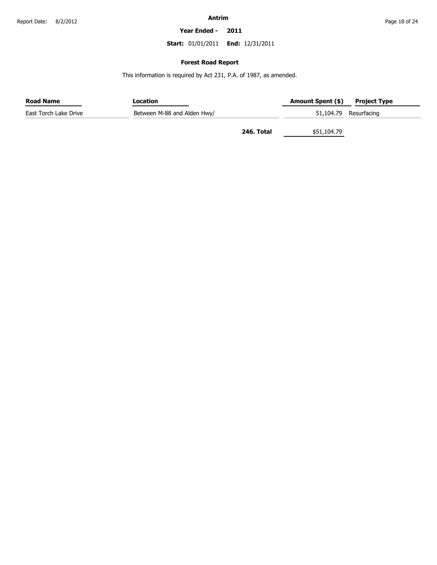**Year Ended - 2011**

**Start:** 01/01/2011 **End:** 12/31/2011

# **Forest Road Report**

This information is required by Act 231, P.A. of 1987, as amended.

| <b>Road Name</b>      | Location                    | <b>Amount Spent (\$)</b>  | <b>Project Type</b>   |
|-----------------------|-----------------------------|---------------------------|-----------------------|
| East Torch Lake Drive | Between M-88 and Alden Hwy/ |                           | 51,104.79 Resurfacing |
|                       |                             | 246. Total<br>\$51,104.79 |                       |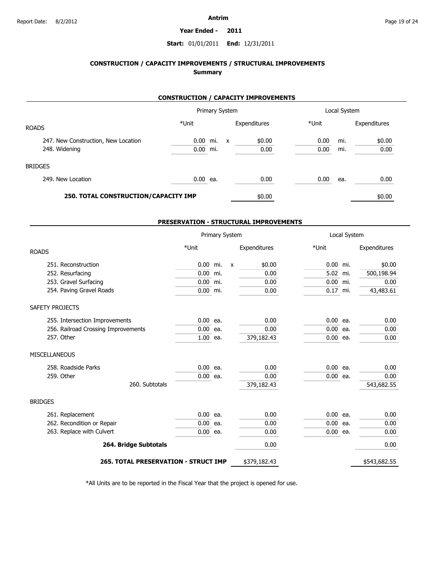#### **Year Ended - 2011**

# **Start:** 01/01/2011 **End:** 12/31/2011

# **CONSTRUCTION / CAPACITY IMPROVEMENTS / STRUCTURAL IMPROVEMENTS Summary**

# **CONSTRUCTION / CAPACITY IMPROVEMENTS**

|                                      |            | Primary System |   |              |       | Local System |              |
|--------------------------------------|------------|----------------|---|--------------|-------|--------------|--------------|
| <b>ROADS</b>                         | *Unit      |                |   | Expenditures | *Unit |              | Expenditures |
| 247. New Construction, New Location  | $0.00$ mi. |                | X | \$0.00       | 0.00  | mi.          | \$0.00       |
| 248. Widening                        | $0.00$ mi. |                |   | 0.00         | 0.00  | mi.          | 0.00         |
| <b>BRIDGES</b>                       |            |                |   |              |       |              |              |
| 249. New Location                    | 0.00 ea.   |                |   | 0.00         | 0.00  | ea.          | 0.00         |
| 250. TOTAL CONSTRUCTION/CAPACITY IMP |            |                |   | \$0.00       |       |              | \$0.00       |

### **PRESERVATION - STRUCTURAL IMPROVEMENTS**

|                                             |            | Primary System |              |              |            | Local System |              |
|---------------------------------------------|------------|----------------|--------------|--------------|------------|--------------|--------------|
| <b>ROADS</b>                                | *Unit      |                |              | Expenditures | *Unit      |              | Expenditures |
| 251. Reconstruction                         | $0.00$ mi. |                | $\mathsf{x}$ | \$0.00       | $0.00$ mi. |              | \$0.00       |
| 252. Resurfacing                            | $0.00$ mi. |                |              | 0.00         | 5.02 mi.   |              | 500,198.94   |
| 253. Gravel Surfacing                       | 0.00 mi.   |                |              | 0.00         | 0.00 mi.   |              | 0.00         |
| 254. Paving Gravel Roads                    | $0.00$ mi. |                |              | 0.00         | $0.17$ mi. |              | 43,483.61    |
| SAFETY PROJECTS                             |            |                |              |              |            |              |              |
| 255. Intersection Improvements              | $0.00$ ea. |                |              | 0.00         | $0.00$ ea. |              | 0.00         |
| 256. Railroad Crossing Improvements         | $0.00$ ea. |                |              | 0.00         | $0.00$ ea. |              | 0.00         |
| 257. Other                                  | $1.00$ ea. |                |              | 379,182.43   | $0.00$ ea. |              | 0.00         |
| <b>MISCELLANEOUS</b>                        |            |                |              |              |            |              |              |
| 258. Roadside Parks                         | $0.00$ ea. |                |              | 0.00         | $0.00$ ea. |              | 0.00         |
| 259. Other                                  | $0.00$ ea. |                |              | 0.00         | $0.00$ ea. |              | 0.00         |
| 260. Subtotals                              |            |                |              | 379,182.43   |            |              | 543,682.55   |
| <b>BRIDGES</b>                              |            |                |              |              |            |              |              |
| 261. Replacement                            | $0.00$ ea. |                |              | 0.00         | $0.00$ ea. |              | 0.00         |
| 262. Recondition or Repair                  | $0.00$ ea. |                |              | 0.00         | $0.00$ ea. |              | 0.00         |
| 263. Replace with Culvert                   | $0.00$ ea. |                |              | 0.00         | $0.00$ ea. |              | 0.00         |
| 264. Bridge Subtotals                       |            |                |              | 0.00         |            |              | 0.00         |
| <b>265. TOTAL PRESERVATION - STRUCT IMP</b> |            |                |              | \$379,182.43 |            |              | \$543,682.55 |

\*All Units are to be reported in the Fiscal Year that the project is opened for use.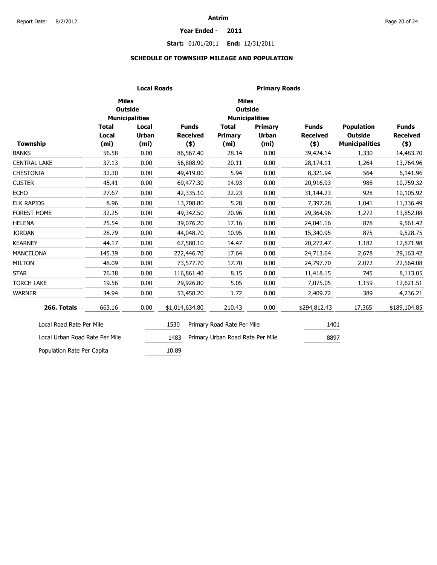#### **Year Ended - 2011**

# **Start:** 01/01/2011 **End:** 12/31/2011

# **SCHEDULE OF TOWNSHIP MILEAGE AND POPULATION**

|                                |                   | <b>Local Roads</b>                      | <b>Primary Roads</b> |                                  |                       |                 |                       |                 |  |  |
|--------------------------------|-------------------|-----------------------------------------|----------------------|----------------------------------|-----------------------|-----------------|-----------------------|-----------------|--|--|
|                                | <b>Miles</b>      | <b>Outside</b><br><b>Municipalities</b> |                      | <b>Miles</b><br><b>Outside</b>   | <b>Municipalities</b> |                 |                       |                 |  |  |
|                                | <b>Total</b>      | Local                                   | <b>Funds</b>         | <b>Total</b>                     | Primary               | <b>Funds</b>    | <b>Population</b>     | <b>Funds</b>    |  |  |
|                                | Local             | <b>Urban</b>                            | <b>Received</b>      | <b>Primary</b>                   | <b>Urban</b>          | <b>Received</b> | <b>Outside</b>        | <b>Received</b> |  |  |
| Township                       | (m <sub>i</sub> ) | (m <sub>i</sub> )                       | $($ \$)              | (m <sub>i</sub> )                | (m <sub>i</sub> )     | $($ \$)         | <b>Municipalities</b> | $($ \$)         |  |  |
| <b>BANKS</b>                   | 56.58             | 0.00                                    | 86,567.40            | 28.14                            | 0.00                  | 39,424.14       | 1,330                 | 14,483.70       |  |  |
| <b>CENTRAL LAKE</b>            | 37.13             | 0.00                                    | 56,808.90            | 20.11                            | 0.00                  | 28,174.11       | 1,264                 | 13,764.96       |  |  |
| <b>CHESTONIA</b>               | 32.30             | 0.00                                    | 49,419.00            | 5.94                             | 0.00                  | 8,321.94        | 564                   | 6,141.96        |  |  |
| <b>CUSTER</b>                  | 45.41             | 0.00                                    | 69,477.30            | 14.93                            | 0.00                  | 20,916.93       | 988                   | 10,759.32       |  |  |
| <b>ECHO</b>                    | 27.67             | 0.00                                    | 42,335.10            | 22.23                            | 0.00                  | 31,144.23       | 928                   | 10,105.92       |  |  |
| <b>ELK RAPIDS</b>              | 8.96              | 0.00                                    | 13,708.80            | 5.28                             | 0.00                  | 7,397.28        | 1,041                 | 11,336.49       |  |  |
| FOREST HOME                    | 32.25             | 0.00                                    | 49,342.50            | 20.96                            | 0.00                  | 29,364.96       | 1,272                 | 13,852.08       |  |  |
| <b>HELENA</b>                  | 25.54             | 0.00                                    | 39,076.20            | 17.16                            | 0.00                  | 24,041.16       | 878                   | 9,561.42        |  |  |
| <b>JORDAN</b>                  | 28.79             | 0.00                                    | 44,048.70            | 10.95                            | 0.00                  | 15,340.95       | 875                   | 9,528.75        |  |  |
| <b>KEARNEY</b>                 | 44.17             | 0.00                                    | 67,580.10            | 14.47                            | 0.00                  | 20,272.47       | 1,182                 | 12,871.98       |  |  |
| <b>MANCELONA</b>               | 145.39            | 0.00                                    | 222,446.70           | 17.64                            | 0.00                  | 24,713.64       | 2,678                 | 29,163.42       |  |  |
| <b>MILTON</b>                  | 48.09             | 0.00                                    | 73,577.70            | 17.70                            | 0.00                  | 24,797.70       | 2,072                 | 22,564.08       |  |  |
| <b>STAR</b>                    | 76.38             | 0.00                                    | 116,861.40           | 8.15                             | 0.00                  | 11,418.15       | 745                   | 8,113.05        |  |  |
| <b>TORCH LAKE</b>              | 19.56             | 0.00                                    | 29,926.80            | 5.05                             | 0.00                  | 7,075.05        | 1,159                 | 12,621.51       |  |  |
| <b>WARNER</b>                  | 34.94             | 0.00                                    | 53,458.20            | 1.72                             | 0.00                  | 2,409.72        | 389                   | 4,236.21        |  |  |
| 266. Totals                    | 663.16            | 0.00                                    | \$1,014,634.80       | 210.43                           | 0.00                  | \$294,812.43    | 17,365                | \$189,104.85    |  |  |
| Local Road Rate Per Mile       |                   |                                         | 1530                 | Primary Road Rate Per Mile       |                       | 1401            |                       |                 |  |  |
| Local Urban Road Rate Per Mile |                   |                                         | 1483                 | Primary Urban Road Rate Per Mile |                       | 8897            |                       |                 |  |  |
| Population Rate Per Capita     |                   |                                         | 10.89                |                                  |                       |                 |                       |                 |  |  |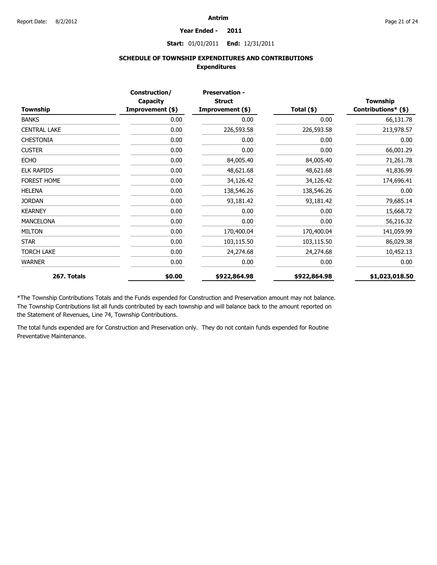#### **Year Ended - 2011**

### **Start:** 01/01/2011 **End:** 12/31/2011

# **SCHEDULE OF TOWNSHIP EXPENDITURES AND CONTRIBUTIONS Expenditures**

|                     | Construction/<br>Capacity | <b>Preservation -</b><br><b>Struct</b> |              | <b>Township</b>     |
|---------------------|---------------------------|----------------------------------------|--------------|---------------------|
| Township            | Improvement (\$)          | Improvement (\$)                       | Total (\$)   | Contributions* (\$) |
| <b>BANKS</b>        | 0.00                      | 0.00                                   | 0.00         | 66,131.78           |
| <b>CENTRAL LAKE</b> | 0.00                      | 226,593.58                             | 226,593.58   | 213,978.57          |
| <b>CHESTONIA</b>    | 0.00                      | 0.00                                   | 0.00         | 0.00                |
| <b>CUSTER</b>       | 0.00                      | 0.00                                   | 0.00         | 66,001.29           |
| <b>ECHO</b>         | 0.00                      | 84,005.40                              | 84,005.40    | 71,261.78           |
| <b>ELK RAPIDS</b>   | 0.00                      | 48,621.68                              | 48,621.68    | 41,836.99           |
| <b>FOREST HOME</b>  | 0.00                      | 34,126.42                              | 34,126.42    | 174,696.41          |
| <b>HELENA</b>       | 0.00                      | 138,546.26                             | 138,546.26   | 0.00                |
| <b>JORDAN</b>       | 0.00                      | 93,181.42                              | 93,181.42    | 79,685.14           |
| <b>KEARNEY</b>      | 0.00                      | 0.00                                   | 0.00         | 15,668.72           |
| <b>MANCELONA</b>    | 0.00                      | 0.00                                   | 0.00         | 56,216.32           |
| <b>MILTON</b>       | 0.00                      | 170,400.04                             | 170,400.04   | 141,059.99          |
| <b>STAR</b>         | 0.00                      | 103,115.50                             | 103,115.50   | 86,029.38           |
| <b>TORCH LAKE</b>   | 0.00                      | 24,274.68                              | 24,274.68    | 10,452.13           |
| <b>WARNER</b>       | 0.00                      | 0.00                                   | 0.00         | 0.00                |
| 267. Totals         | \$0.00                    | \$922,864.98                           | \$922,864.98 | \$1,023,018.50      |

\*The Township Contributions Totals and the Funds expended for Construction and Preservation amount may not balance. The Township Contributions list all funds contributed by each township and will balance back to the amount reported on the Statement of Revenues, Line 74, Township Contributions.

The total funds expended are for Construction and Preservation only. They do not contain funds expended for Routine Preventative Maintenance.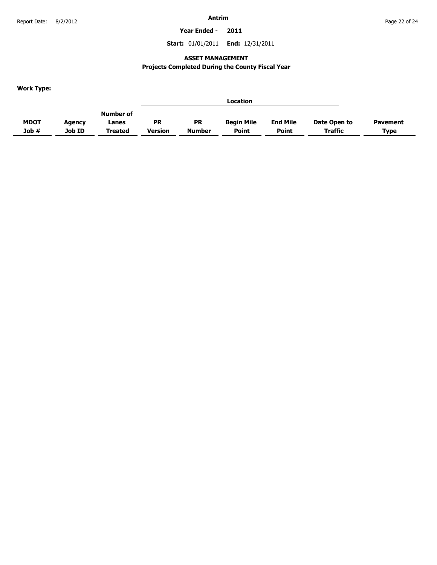**Year Ended - 2011**

**Start:** 01/01/2011 **End:** 12/31/2011

# **ASSET MANAGEMENT**

# **Projects Completed During the County Fiscal Year**

**Work Type:**

|             |        |           |           |               | Location          |                 |              |                 |
|-------------|--------|-----------|-----------|---------------|-------------------|-----------------|--------------|-----------------|
|             |        | Number of |           |               |                   |                 |              |                 |
| <b>MDOT</b> | Agency | Lanes     | <b>PR</b> | <b>PR</b>     | <b>Begin Mile</b> | <b>End Mile</b> | Date Open to | <b>Pavement</b> |
| Job#        | Job ID | Treated   | Version   | <b>Number</b> | <b>Point</b>      | <b>Point</b>    | Traffic      | <b>Type</b>     |
|             |        |           |           |               |                   |                 |              |                 |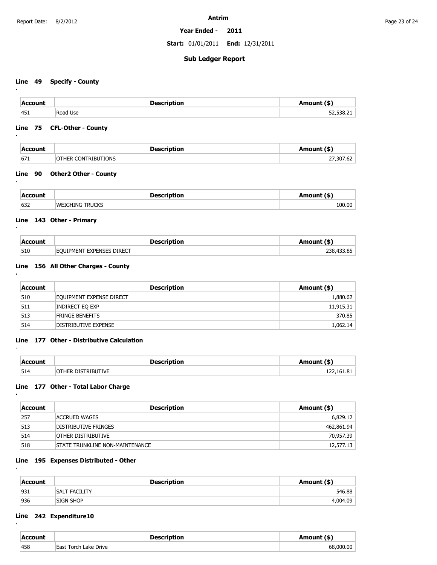**Year Ended - 2011**

**Start:** 01/01/2011 **End:** 12/31/2011

# **Sub Ledger Report**

# **Line 49 Specify - County**

**:**

**:**

**:**

**:**

**:**

**:**

**:**

**:**

**:**

| <b>Account</b> | Description      | Amount (\$) |
|----------------|------------------|-------------|
| 451            | Use<br>Road<br>. | .538.21     |

### **Line 75 CFL-Other - County**

| <b>Account</b> | <b>Description</b>  | Amount (\$) |
|----------------|---------------------|-------------|
| 671            | OTHER CONTRIBUTIONS | 27,307.62   |

# **Line 90 Other2 Other - County**

|     | Deccrintion                 |        |
|-----|-----------------------------|--------|
| 632 | <b>FRIICK</b><br><b>WET</b> | 100.00 |

### **Line 143 Other - Primary**

| Account | <b>Description</b>        | Amount (\$) |
|---------|---------------------------|-------------|
| 510     | EOUIPMENT EXPENSES DIRECT | 238,433.85  |

# **Line 156 All Other Charges - County**

| Account | <b>Description</b>          | Amount (\$) |
|---------|-----------------------------|-------------|
| 510     | EQUIPMENT EXPENSE DIRECT    | 1,880.62    |
| 511     | INDIRECT EQ EXP             | 11,915.31   |
| 513     | <b>FRINGE BENEFITS</b>      | 370.85      |
| 514     | <b>DISTRIBUTIVE EXPENSE</b> | 1,062.14    |

### **Line 177 Other - Distributive Calculation**

| Account | <b>Description</b>                       | \mount (\$)                |
|---------|------------------------------------------|----------------------------|
| 514     | <b>STRIBI ITIVE</b><br>$\gamma$ THER NIS | -81<br>$^{\circ}$ 161<br>. |

# **Line 177 Other - Total Labor Charge**

| Account | <b>Description</b>               | Amount (\$) |
|---------|----------------------------------|-------------|
| 257     | ACCRUED WAGES                    | 6,829.12    |
| 513     | DISTRIBUTIVE FRINGES             | 462,861.94  |
| 514     | other distributive               | 70,957.39   |
| 518     | ISTATE TRUNKLINE NON-MAINTENANCE | 12,577.13   |

### **Line 195 Expenses Distributed - Other**

| Account | <b>Description</b>   | Amount (\$) |
|---------|----------------------|-------------|
| 931     | <b>SALT FACILITY</b> | 546.88      |
| 936     | <b>SIGN SHOP</b>     | 4,004.09    |

### **Line 242 Expenditure10**

| $ACCA IM$ |                              | $\mathbf{r}$ . |
|-----------|------------------------------|----------------|
| 458       | Drive<br>⊢∍∩<br>71/2<br>orch | $\sim$<br>nne  |